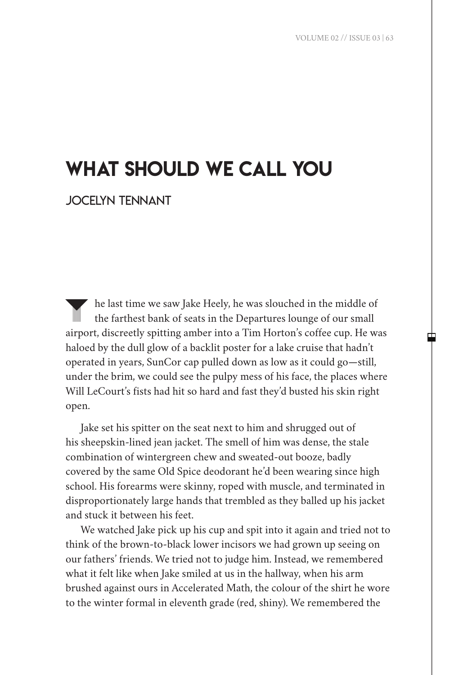## what should we call you

jocelyn tennant

the last time we saw Jake Heely, he was slouched in the middle of the farthest bank of seats in the Departures lounge of our small airport, discreetly spitting amber into a Tim Horton's coffee cup. He was haloed by the dull glow of a backlit poster for a lake cruise that hadn't operated in years, SunCor cap pulled down as low as it could go—still, under the brim, we could see the pulpy mess of his face, the places where Will LeCourt's fists had hit so hard and fast they'd busted his skin right open.

Jake set his spitter on the seat next to him and shrugged out of his sheepskin-lined jean jacket. The smell of him was dense, the stale combination of wintergreen chew and sweated-out booze, badly covered by the same Old Spice deodorant he'd been wearing since high school. His forearms were skinny, roped with muscle, and terminated in disproportionately large hands that trembled as they balled up his jacket and stuck it between his feet.

We watched Jake pick up his cup and spit into it again and tried not to think of the brown-to-black lower incisors we had grown up seeing on our fathers' friends. We tried not to judge him. Instead, we remembered what it felt like when Jake smiled at us in the hallway, when his arm brushed against ours in Accelerated Math, the colour of the shirt he wore to the winter formal in eleventh grade (red, shiny). We remembered the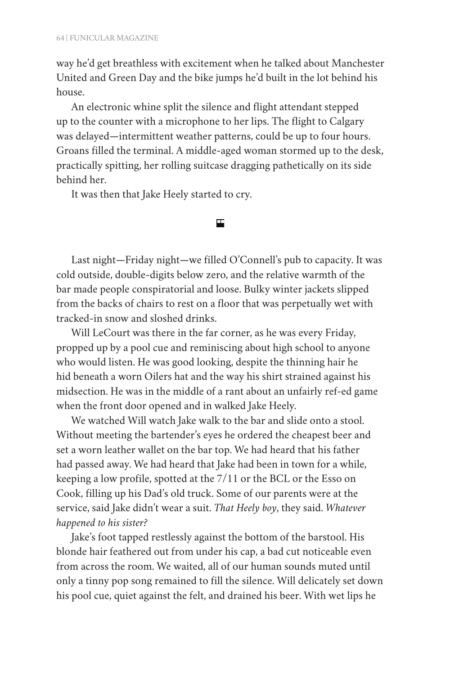way he'd get breathless with excitement when he talked about Manchester United and Green Day and the bike jumps he'd built in the lot behind his house.

An electronic whine split the silence and flight attendant stepped up to the counter with a microphone to her lips. The flight to Calgary was delayed—intermittent weather patterns, could be up to four hours. Groans filled the terminal. A middle-aged woman stormed up to the desk, practically spitting, her rolling suitcase dragging pathetically on its side behind her.

It was then that Jake Heely started to cry.

Last night—Friday night—we filled O'Connell's pub to capacity. It was cold outside, double-digits below zero, and the relative warmth of the bar made people conspiratorial and loose. Bulky winter jackets slipped from the backs of chairs to rest on a floor that was perpetually wet with tracked-in snow and sloshed drinks.

囯

Will LeCourt was there in the far corner, as he was every Friday, propped up by a pool cue and reminiscing about high school to anyone who would listen. He was good looking, despite the thinning hair he hid beneath a worn Oilers hat and the way his shirt strained against his midsection. He was in the middle of a rant about an unfairly ref-ed game when the front door opened and in walked Jake Heely.

We watched Will watch Jake walk to the bar and slide onto a stool. Without meeting the bartender's eyes he ordered the cheapest beer and set a worn leather wallet on the bar top. We had heard that his father had passed away. We had heard that Jake had been in town for a while, keeping a low profile, spotted at the 7/11 or the BCL or the Esso on Cook, filling up his Dad's old truck. Some of our parents were at the service, said Jake didn't wear a suit. *That Heely boy*, they said. *Whatever happened to his sister?*

Jake's foot tapped restlessly against the bottom of the barstool. His blonde hair feathered out from under his cap, a bad cut noticeable even from across the room. We waited, all of our human sounds muted until only a tinny pop song remained to fill the silence. Will delicately set down his pool cue, quiet against the felt, and drained his beer. With wet lips he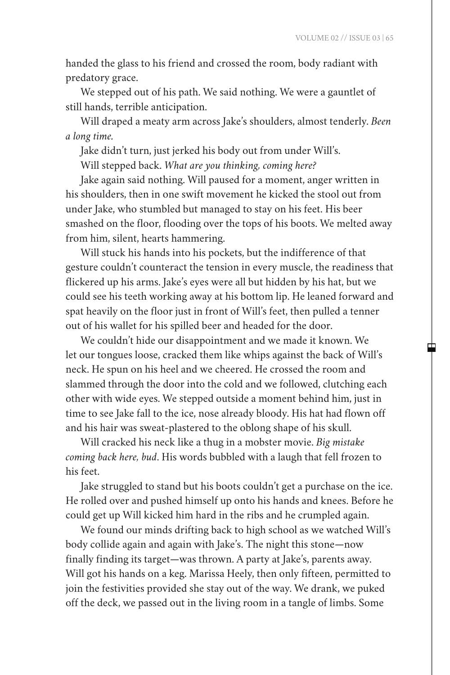中

handed the glass to his friend and crossed the room, body radiant with predatory grace.

We stepped out of his path. We said nothing. We were a gauntlet of still hands, terrible anticipation.

Will draped a meaty arm across Jake's shoulders, almost tenderly. *Been a long time.*

Jake didn't turn, just jerked his body out from under Will's.

Will stepped back. *What are you thinking, coming here?*

Jake again said nothing. Will paused for a moment, anger written in his shoulders, then in one swift movement he kicked the stool out from under Jake, who stumbled but managed to stay on his feet. His beer smashed on the floor, flooding over the tops of his boots. We melted away from him, silent, hearts hammering.

Will stuck his hands into his pockets, but the indifference of that gesture couldn't counteract the tension in every muscle, the readiness that flickered up his arms. Jake's eyes were all but hidden by his hat, but we could see his teeth working away at his bottom lip. He leaned forward and spat heavily on the floor just in front of Will's feet, then pulled a tenner out of his wallet for his spilled beer and headed for the door.

We couldn't hide our disappointment and we made it known. We let our tongues loose, cracked them like whips against the back of Will's neck. He spun on his heel and we cheered. He crossed the room and slammed through the door into the cold and we followed, clutching each other with wide eyes. We stepped outside a moment behind him, just in time to see Jake fall to the ice, nose already bloody. His hat had flown off and his hair was sweat-plastered to the oblong shape of his skull.

Will cracked his neck like a thug in a mobster movie. *Big mistake coming back here, bud*. His words bubbled with a laugh that fell frozen to his feet.

Jake struggled to stand but his boots couldn't get a purchase on the ice. He rolled over and pushed himself up onto his hands and knees. Before he could get up Will kicked him hard in the ribs and he crumpled again.

We found our minds drifting back to high school as we watched Will's body collide again and again with Jake's. The night this stone—now finally finding its target—was thrown. A party at Jake's, parents away. Will got his hands on a keg. Marissa Heely, then only fifteen, permitted to join the festivities provided she stay out of the way. We drank, we puked off the deck, we passed out in the living room in a tangle of limbs. Some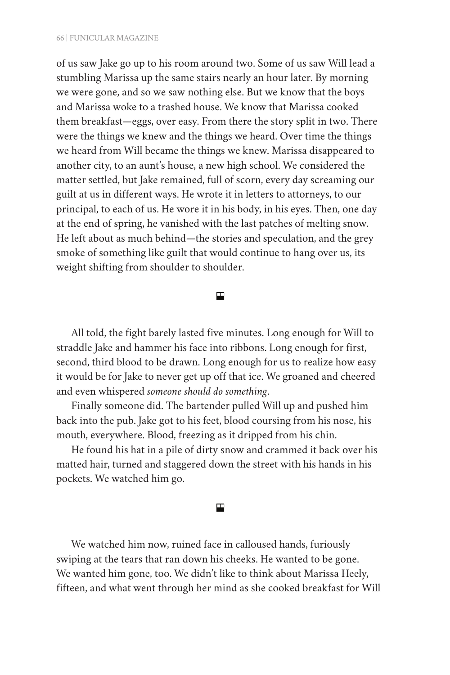of us saw Jake go up to his room around two. Some of us saw Will lead a stumbling Marissa up the same stairs nearly an hour later. By morning we were gone, and so we saw nothing else. But we know that the boys and Marissa woke to a trashed house. We know that Marissa cooked them breakfast—eggs, over easy. From there the story split in two. There were the things we knew and the things we heard. Over time the things we heard from Will became the things we knew. Marissa disappeared to another city, to an aunt's house, a new high school. We considered the matter settled, but Jake remained, full of scorn, every day screaming our guilt at us in different ways. He wrote it in letters to attorneys, to our principal, to each of us. He wore it in his body, in his eyes. Then, one day at the end of spring, he vanished with the last patches of melting snow. He left about as much behind—the stories and speculation, and the grey smoke of something like guilt that would continue to hang over us, its weight shifting from shoulder to shoulder.

## 囯

All told, the fight barely lasted five minutes. Long enough for Will to straddle Jake and hammer his face into ribbons. Long enough for first, second, third blood to be drawn. Long enough for us to realize how easy it would be for Jake to never get up off that ice. We groaned and cheered and even whispered *someone should do something*.

Finally someone did. The bartender pulled Will up and pushed him back into the pub. Jake got to his feet, blood coursing from his nose, his mouth, everywhere. Blood, freezing as it dripped from his chin.

He found his hat in a pile of dirty snow and crammed it back over his matted hair, turned and staggered down the street with his hands in his pockets. We watched him go.

## 囯

We watched him now, ruined face in calloused hands, furiously swiping at the tears that ran down his cheeks. He wanted to be gone. We wanted him gone, too. We didn't like to think about Marissa Heely, fifteen, and what went through her mind as she cooked breakfast for Will